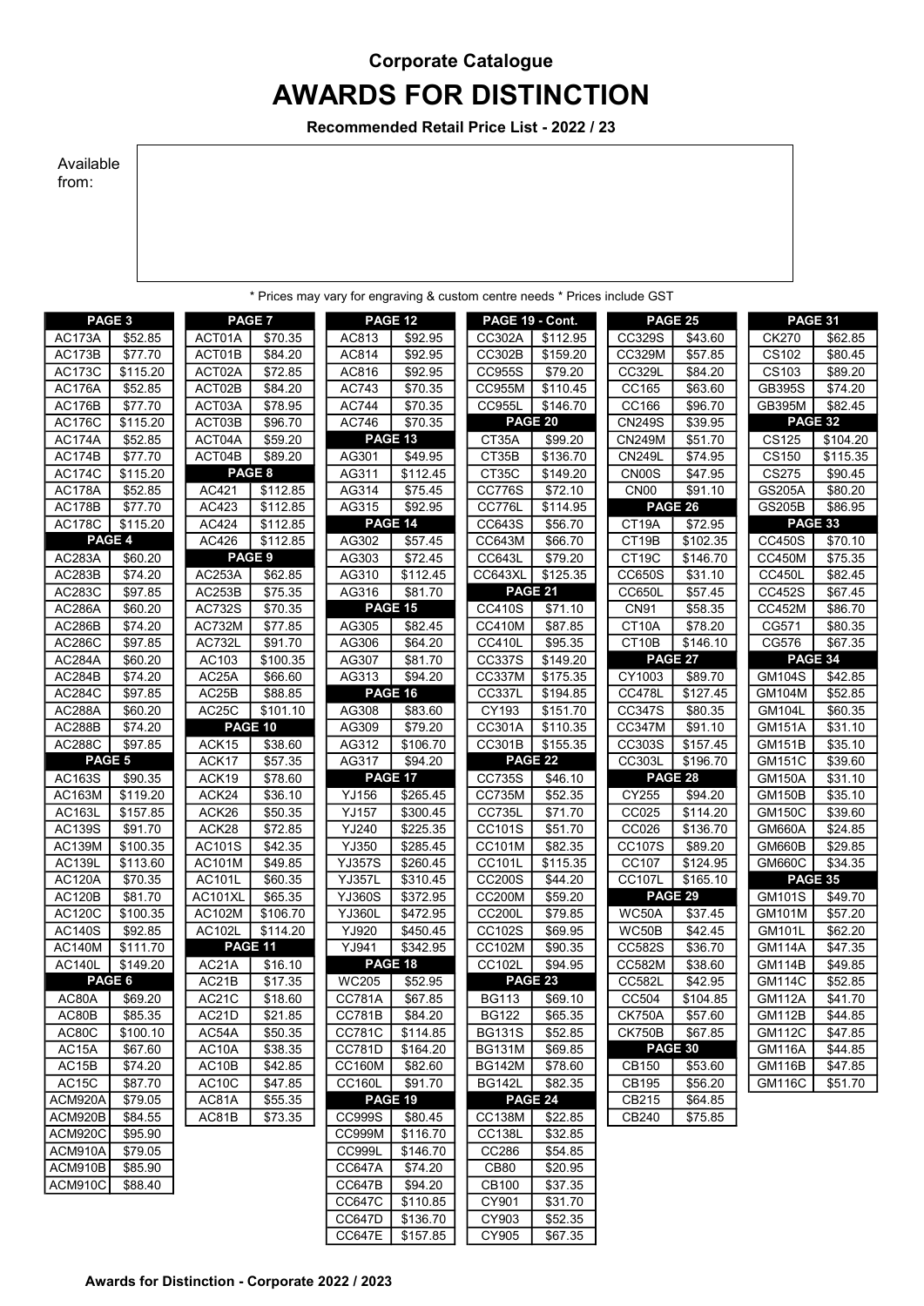## Corporate Catalogue AWARDS FOR DISTINCTION

Recommended Retail Price List - 2022 / 23

## Available from:

| <b>PAGE 3</b>                |                            |
|------------------------------|----------------------------|
| <u>AC173A</u>                | <u>\$52.85</u>             |
| :173B<br>AC                  | 70<br>\$77.                |
| AC<br>:1730                  | \$115.20                   |
| <b>AC176A</b>                | \$52.85                    |
| <b>AC176E</b>                | \$77.70                    |
| AC1760                       | \$115.20                   |
| AC<br>74A<br>$\cdot$ 1       | <u>\$52.85</u>             |
| :1<br>74B<br>AC              | \$77.70                    |
| $\dot{1}$<br>AC<br>74C       | 20<br>\$115.               |
| AC <sub>1</sub><br>78A       | \$52.85                    |
| :178B<br>AC                  | \$77.70                    |
| AC<br>:178C                  | \$115.<br>20               |
| PAGE 4                       |                            |
| AC283A                       | \$60.20                    |
| AC283B                       | \$74.20                    |
| AC283C                       | \$97.85                    |
| AC286A                       | \$60.20                    |
| AC<br>:286B                  | \$74.20                    |
| AC286C                       | \$97.85                    |
| 284A:<br>AC                  | \$60.20                    |
| AC284B                       | \$74.<br>20                |
| AC284C                       | \$97.85                    |
| AC288A                       | \$60.20                    |
| AC<br>:288E                  | \$74.20                    |
| 2880:<br>AC                  | \$97.85                    |
|                              |                            |
| PAGE <sub>5</sub>            |                            |
| AC163S                       | \$90.35                    |
| AC163M                       | \$119.20                   |
|                              |                            |
| <u>AC163L</u><br>:1399<br>AC | <u>\$157.85</u><br>\$91.70 |
| 1<br>AC<br>39M               | \$100.35                   |
| AC <sub>1</sub><br>39I       | \$113.60                   |
| AC120A                       | \$70.35                    |
| AC120I                       | \$81.70                    |
| AC<br>:120C                  | \$100.35                   |
| :140S<br>AC                  | \$92.85                    |
| .140N<br>AC                  | \$111.70                   |
| C <sub>140</sub>             | \$149.<br>20               |
| <b>PAGE</b>                  | 6                          |
|                              | <u>\$69.20</u>             |
| AC80A<br>AC80B               | \$85.35                    |
| AC80C                        | \$100.10                   |
| AC15A                        | \$67.60                    |
| AC15B                        | \$74.20                    |
| AC15C                        | \$87.70                    |
| ACM920A                      | <u>\$79.05</u>             |
| ACM920B                      | \$84.55                    |
| ACM920C                      | \$95.90                    |
| ACM910A                      | \$79.05                    |
| ACM910B                      | \$85.90                    |

|                    |                     |                    |                   |               |          |                      |                | * Prices may vary for engraving & custom centre needs * Prices include GST |          |                            |                     |
|--------------------|---------------------|--------------------|-------------------|---------------|----------|----------------------|----------------|----------------------------------------------------------------------------|----------|----------------------------|---------------------|
| PAGE <sub>3</sub>  |                     |                    | PAGE <sub>7</sub> |               | PAGE 12  | PAGE 19 - Cont.      |                |                                                                            | PAGE 25  |                            | PAGE 31             |
| <b>AC173A</b>      | \$52.85             | ACT01A             | \$70.35           | AC813         | \$92.95  | CC302A               | \$112.95       | CC329S                                                                     | \$43.60  | <b>CK270</b>               | \$62.85             |
| <b>AC173B</b>      | \$77.70             | ACT01B             | \$84.20           | AC814         | \$92.95  | <b>CC302B</b>        | \$159.20       | CC329M                                                                     | \$57.85  | CS102                      | \$80.45             |
| AC173C             | \$115.20            | ACT02A             | \$72.85           | AC816         | \$92.95  | <b>CC955S</b>        | \$79.20        | <b>CC329L</b>                                                              | \$84.20  | CS103                      | \$89.20             |
| AC176A             | \$52.85             | ACT02B             | \$84.20           | AC743         | \$70.35  | <b>CC955M</b>        | \$110.45       | CC165                                                                      | \$63.60  | <b>GB395S</b>              | $\sqrt{$74.20}$     |
| AC176B             | \$77.70             | ACT03A             | \$78.95           | AC744         | \$70.35  | <b>CC955L</b>        | \$146.70       | CC166                                                                      | \$96.70  | GB395M                     | \$82.45             |
| <b>AC176C</b>      | \$115.20            | ACT03B             | \$96.70           | AC746         | \$70.35  |                      | PAGE 20        | <b>CN249S</b>                                                              | \$39.95  |                            | PAGE 32             |
| <b>AC174A</b>      | \$52.85             | ACT04A             | \$59.20           |               | PAGE 13  | CT35A                | \$99.20        | <b>CN249M</b>                                                              | \$51.70  | $\overline{\text{C}}$ S125 | \$104.20            |
| <b>AC174B</b>      | \$77.70             | ACT04B             | \$89.20           | AG301         | \$49.95  | CT35B                | \$136.70       | <b>CN249L</b>                                                              | \$74.95  | CS150                      | \$115.35            |
| <b>AC174C</b>      | \$115.20            |                    | PAGE 8            | AG311         | \$112.45 | CT35C                | \$149.20       | CN00S                                                                      | \$47.95  | CS275                      | \$90.45             |
| <b>AC178A</b>      | \$52.85             | AC421              | \$112.85          | AG314         | \$75.45  | $\overline{CC776S}$  | \$72.10        | CN <sub>00</sub>                                                           | \$91.10  | <b>GS205A</b>              | \$80.20             |
| AC178B             | \$77.70             | AC423              | \$112.85          | AG315         | \$92.95  | CC776L               | \$114.95       |                                                                            | PAGE 26  | <b>GS205B</b>              | \$86.95             |
| <b>AC178C</b>      | \$115.20            | AC424              | \$112.85          |               | PAGE 14  | CC643S               | \$56.70        | CT19A                                                                      | \$72.95  |                            | PAGE 33             |
| PAGE 4             |                     | AC426              | \$112.85          | AG302         | \$57.45  | CC643M               | \$66.70        | CT <sub>19</sub> B                                                         | \$102.35 | <b>CC450S</b>              | \$70.10             |
| AC283A             | \$60.20             |                    | PAGE 9            | AG303         | \$72.45  | $\overline{CC}$ 643L | \$79.20        | CT19C                                                                      | \$146.70 | <b>CC450M</b>              | \$75.35             |
| AC283B             | \$74.20             | AC253A             | \$62.85           | AG310         | \$112.45 | CC643XL              | \$125.35       | <b>CC650S</b>                                                              | \$31.10  | <b>CC450L</b>              | \$82.45             |
| AC283C             | \$97.85             | AC253B             | \$75.35           | AG316         | \$81.70  | PAGE 21              |                | CC650L                                                                     | \$57.45  | <b>CC452S</b>              | \$67.45             |
| <b>AC286A</b>      | \$60.20             | AC732S             | \$70.35           |               | PAGE 15  | <b>CC410S</b>        | \$71.10        | <b>CN91</b>                                                                | \$58.35  | <b>CC452M</b>              | \$86.70             |
| <b>AC286B</b>      | \$74.20             | AC732M             | \$77.85           | AG305         | \$82.45  | <b>CC410M</b>        | \$87.85        | CT10A                                                                      | \$78.20  | CG571                      | \$80.35             |
| AC286C             | \$97.85             | AC732L             | \$91.70           | AG306         | \$64.20  | <b>CC410L</b>        | \$95.35        | CT10B                                                                      | \$146.10 | CG576                      | \$67.35             |
| <b>AC284A</b>      | \$60.20             | AC103              | \$100.35          | AG307         | \$81.70  | CC337S               | \$149.20       | PAGE 27                                                                    |          |                            | PAGE 34             |
| AC284B             | \$74.20             | AC <sub>25</sub> A | \$66.60           | AG313         | \$94.20  | <b>CC337M</b>        | \$175.35       | CY1003                                                                     | \$89.70  | <b>GM104S</b>              | \$42.85             |
| AC284C             | \$97.85             | AC25B              | \$88.85           |               | PAGE 16  | <b>CC337L</b>        | \$194.85       | CC478L                                                                     | \$127.45 | <b>GM104M</b>              | \$52.85             |
| <b>AC288A</b>      | \$60.20             | AC25C              | \$101.10          | AG308         | \$83.60  | CY193                | \$151.70       | CC347S                                                                     | \$80.35  | GM104L                     | \$60.35             |
| <b>AC288B</b>      | \$74.20             |                    | PAGE 10           | AG309         | \$79.20  | CC301A               | \$110.35       | <b>CC347M</b>                                                              | \$91.10  | <b>GM151A</b>              | \$31.10             |
| AC288C             | \$97.85             | ACK15              | \$38.60           | AG312         | \$106.70 | CC301B               | \$155.35       | CC303S                                                                     | \$157.45 | <b>GM151B</b>              | \$35.10             |
| PAGE 5             |                     | ACK17              | 357.35            | AG317         | \$94.20  |                      | <b>PAGE 22</b> | <b>CC303L</b>                                                              | \$196.70 | GM151C                     | \$39.60             |
| AC163S             | \$90.35             | ACK19              | \$78.60           |               | PAGE 17  | CC735S               | \$46.10        | PAGE 28                                                                    |          | <b>GM150A</b>              | $\overline{$}31.10$ |
| AC163M             | \$119.20            | ACK24              | \$36.10           | YJ156         | \$265.45 | <b>CC735M</b>        | \$52.35        | CY255                                                                      | \$94.20  | <b>GM150B</b>              | \$35.10             |
| AC163L             | \$157.85            | ACK26              | \$50.35           | <b>YJ157</b>  | \$300.45 | CC735L               | \$71.70        | CC025                                                                      | \$114.20 | <b>GM150C</b>              | \$39.60             |
| AC139S             | \$91.70             | ACK28              | \$72.85           | YJ240         | \$225.35 | CC101S               | \$51.70        | CC026                                                                      | \$136.70 | <b>GM660A</b>              | \$24.85             |
| AC139M             | \$100.35            | AC101S             | \$42.35           | YJ350         | \$285.45 | CC101M               | \$82.35        | CC107S                                                                     | \$89.20  | <b>GM660B</b>              | \$29.85             |
| AC139L             | \$113.60            | AC101M             | \$49.85           | <b>YJ357S</b> | \$260.45 | <b>CC101L</b>        | \$115.35       | CC107                                                                      | \$124.95 | <b>GM660C</b>              | 334.35              |
| <b>AC120A</b>      | $\overline{$}70.35$ | <b>AC101L</b>      | \$60.35           | <b>YJ357L</b> | \$310.45 | <b>CC200S</b>        | \$44.20        | <b>CC107L</b>                                                              | \$165.10 |                            | PAGE 35             |
| <b>AC120B</b>      | \$81.70             | <b>AC101XL</b>     | \$65.35           | <b>YJ360S</b> | \$372.95 | <b>CC200M</b>        | \$59.20        | PAGE 29                                                                    |          | <b>GM101S</b>              | \$49.70             |
| AC120C             | \$100.35            | AC102M             | \$106.70          | YJ360L        | \$472.95 | <b>CC200L</b>        | \$79.85        | WC50A                                                                      | \$37.45  | GM101M                     | \$57.20             |
| <b>AC140S</b>      | \$92.85             | AC102L             | \$114.20          | YJ920         | \$450.45 | CC102S               | \$69.95        | WC50B                                                                      | \$42.45  | <b>GM101L</b>              | \$62.20             |
| <b>AC140M</b>      | \$111.70            |                    | PAGE 11           | YJ941         | \$342.95 | <b>CC102M</b>        | \$90.35        | CC582S                                                                     | \$36.70  | GM114A                     | \$47.35             |
| <b>AC140L</b>      | \$149.20            | AC21A              | \$16.10           |               | PAGE 18  | <b>CC102L</b>        | \$94.95        | <b>CC582M</b>                                                              | \$38.60  | <b>GM114B</b>              | \$49.85             |
|                    | <b>PAGE 6</b>       | AC21B              | \$17.35           | <b>WC205</b>  | \$52.95  |                      | PAGE 23        | <b>CC582L</b>                                                              | \$42.95  | <b>GM114C</b>              | \$52.85             |
| AC80A              | \$69.20             | AC21C              | \$18.60           | <b>CC781A</b> | \$67.85  | BG113                | \$69.10        | CC504                                                                      | \$104.85 | <b>GM112A</b>              | \$41.70             |
| AC80B              | \$85.35             | AC21D              | \$21.85           | <b>CC781B</b> | \$84.20  | <b>BG122</b>         | \$65.35        | <b>CK750A</b>                                                              | \$57.60  | <b>GM112B</b>              | \$44.85             |
| AC80C              | \$100.10            | AC54A              | \$50.35           | CC781C        | \$114.85 | <b>BG131S</b>        | \$52.85        | <b>CK750B</b>                                                              | \$67.85  | <b>GM112C</b>              | \$47.85             |
| AC15A              | \$67.60             | AC10A              | \$38.35           | <b>CC781D</b> | \$164.20 | <b>BG131M</b>        | \$69.85        |                                                                            | PAGE 30  | <b>GM116A</b>              | \$44.85             |
| AC15B              | \$74.20             | AC10B              | \$42.85           | <b>CC160M</b> | \$82.60  | <b>BG142M</b>        | \$78.60        | CB150                                                                      | \$53.60  | <b>GM116B</b>              | \$47.85             |
| AC <sub>15</sub> C | \$87.70             | AC10C              | \$47.85           | CC160L        | \$91.70  | <b>BG142L</b>        | \$82.35        | CB195                                                                      | \$56.20  | <b>GM116C</b>              | \$51.70             |
| ACM920A            | \$79.05             | AC81A              | \$55.35           |               | PAGE 19  |                      | PAGE 24        | CB215                                                                      | \$64.85  |                            |                     |
| ACM920B            | \$84.55             | AC81B              | \$73.35           | <b>CC999S</b> | \$80.45  | <b>CC138M</b>        | \$22.85        | CB240                                                                      | \$75.85  |                            |                     |
| ACM920C            | \$95.90             |                    |                   | <b>CC999M</b> | \$116.70 | <b>CC138L</b>        | \$32.85        |                                                                            |          |                            |                     |
| ACM910A            | \$79.05             |                    |                   | CC999L        | \$146.70 | CC286                | \$54.85        |                                                                            |          |                            |                     |
| ACM910B            | \$85.90             |                    |                   | <b>CC647A</b> | \$74.20  | CB80                 | \$20.95        |                                                                            |          |                            |                     |
| ACM910C            | \$88.40             |                    |                   | <b>CC647B</b> | \$94.20  | CB100                | \$37.35        |                                                                            |          |                            |                     |
|                    |                     |                    |                   |               |          |                      |                |                                                                            |          |                            |                     |

| ary ior origiaving a v |                    | ,,,,,,        |                 |
|------------------------|--------------------|---------------|-----------------|
|                        | <b>PAGE 12</b>     |               | PAGE 19 - Cont. |
| AC813                  | \$92.95            | CC302A        | \$112.95        |
| AC814                  | \$92.95            | <b>CC302B</b> | \$159.20        |
| AC816                  | \$92.95            | <b>CC955S</b> | \$79.20         |
| AC743                  | \$70.35            | <b>CC955M</b> | \$110.45        |
| AC744                  | \$70.35            | <b>CC955L</b> | \$146.70        |
| AC746                  | \$70.35            |               | <b>PAGE 20</b>  |
|                        | PAGE 13            | CT35A         | \$99.20         |
| AG301                  | \$49.95            | CT35B         | \$136.70        |
| AG311                  | \$112.45           | CT35C         | \$149.20        |
| AG314                  | \$75.45            | <b>CC776S</b> | \$72.10         |
| AG315                  | \$92.95            | CC776L        | \$114.95        |
|                        | PAGE 14            | CC643S        | \$56.70         |
| AG302                  | \$57.45            | CC643M        | \$66.70         |
| AG303                  | \$72.45            | CC643L        | \$79.20         |
| AG310                  | \$112.45           | CC643XL       | \$125.35        |
| AG316                  | \$81.70            |               | <b>PAGE 21</b>  |
|                        | <b>PAGE 15</b>     | CC410S        | \$71.10         |
| AG305                  | \$82.45            | <b>CC410M</b> | \$87.85         |
| AG306                  | \$64.20            | <b>CC410L</b> | \$95.35         |
| AG307                  | $\frac{1}{881.70}$ | CC337S        | \$149.20        |
| AG313                  | \$94.20            | <b>CC337M</b> | \$175.35        |
|                        | PAGE 16            | <b>CC337L</b> | \$194.85        |
| AG308                  | \$83.60            | CY193         | \$151.70        |
| AG309                  | \$79.20            | CC301A        | \$110.35        |
| AG312                  | \$106.70           | CC301B        | \$155.35        |
| AG317                  | \$94.20            |               | <b>PAGE 22</b>  |
|                        | <b>PAGE 17</b>     | CC735S        | \$46.10         |
| YJ156                  | \$265.45           | CC735M        | \$52.35         |
| YJ157                  | \$300.45           | CC735L        | <u>\$71.70</u>  |
| YJ240                  | \$225.35           | CC101S        | \$51.70         |
| YJ350                  | \$285.45           | CC101M        | \$82.35         |
| <b>YJ357S</b>          | \$260.45           | <b>CC101L</b> | \$115.35        |
| <b>YJ357L</b>          | \$310.45           | <b>CC200S</b> | \$44.20         |
| YJ360S                 | \$372.95           | <b>CC200M</b> | \$59.20         |
| YJ360L                 | \$472.95           | <b>CC200L</b> | \$79.85         |
| YJ920                  | \$450.45           | CC102S        | \$69.95         |
| YJ941                  | \$342.95           | <b>CC102M</b> | \$90.35         |
|                        | PAGE 18            | <b>CC102L</b> | \$94.95         |
| <b>WC205</b>           | \$52.95            |               | PAGE 23         |
| CC781A                 | \$67.85            | BG113         | \$69.10         |
| CC781B                 | \$84.20            | <b>BG122</b>  | \$65.35         |
| CC781C                 | \$114.85           | <b>BG131S</b> | \$52.85         |
| CC781D                 | \$164.20           | <b>BG131M</b> | \$69.85         |
| CC160M                 | \$82.60            | <b>BG142M</b> | \$78.60         |
| <b>CC160L</b>          | \$91.70            | <b>BG142L</b> | \$82.35         |
|                        | PAGE 19            |               | PAGE 24         |
| CC999S                 | \$80.45            | CC138M        | \$22.85         |
| CC999M                 | \$116.70           | <b>CC138L</b> | \$32.85         |
| CC999L                 | \$146.70           | CC286         | \$54.85         |
| <b>CC647A</b>          | \$74.20            | CB80          | \$20.95         |
| <b>CC647B</b>          | \$94.20            | CB100         | \$37.35         |
| CC647C                 | \$110.85           | CY901         | \$31.70         |
| CC647D                 | \$136.70           | CY903         | \$52.35         |
| <b>CC647E</b>          | \$157.85           | CY905         | \$67.35         |

|                              |                      |                |                    | engraving & custom centre needs * Prices include GST |
|------------------------------|----------------------|----------------|--------------------|------------------------------------------------------|
|                              | <b>AGE 12</b>        |                | PAGE 19 - Cont.    | <b>PAG</b>                                           |
| 3                            | \$92.95              | CC302A         | \$112.95           | CC329S                                               |
| 4                            | \$92.95              | CC302B         | \$159.20           | CC329M                                               |
| $\overline{6}$               | \$92.95              | CC955S         | \$79.20            | <b>CC329L</b>                                        |
| $\overline{\cdot}$           | \$70.35              | <b>CC955M</b>  | \$110.45           | CC165                                                |
| 4                            | \$70.35              | <b>CC955L</b>  | \$146.70           | CC166                                                |
| 6                            | \$70.35              |                | <b>PAGE 20</b>     | <b>CN249S</b>                                        |
|                              | AGE <sub>13</sub>    | CT35A          | \$99.20            | <b>CN249M</b>                                        |
| 11                           | \$49.95              | CT35B          | \$136.70           | <b>CN249L</b>                                        |
| $\mathbf{1}$                 | \$112.45             | CT35C          | \$149.20           | CN <sub>00</sub> S                                   |
| 4                            | \$75.45              | <b>CC776S</b>  | \$72.10            | CNOO                                                 |
| $\overline{5}$               | \$92.95              | CC776L         | \$114.95           | <b>PAG</b>                                           |
|                              | <b>AGE 14</b>        | CC643S         | \$56.70            | CT <sub>19</sub> A                                   |
| 12                           | \$57.45              | CC643M         | \$66.70            | CT19B                                                |
| 13                           | \$72.45              | CC643L         | \$79.20            | CT <sub>19</sub> C                                   |
| $\pmb{0}$                    | \$112.45             | CC643XL        | \$125.35           | CC650S                                               |
| 6                            | \$81.70              |                | PAGE 21            | <b>CC650L</b>                                        |
|                              | AGE <sub>15</sub>    | <b>CC410S</b>  | \$71.10            | <b>CN91</b>                                          |
| 15                           | \$82.45              | CC410M         | \$87.85            | CT10A                                                |
| 16                           | \$64.20              | <b>CC410L</b>  | \$95.35            | CT10B                                                |
| 17                           | \$81.70              | CC337S         | \$149.20           | <b>PAG</b>                                           |
| $\overline{3}$               | \$94.20              | <b>CC337M</b>  | \$175.35           | CY1003                                               |
|                              | <b>PAGE 16</b>       | <b>CC337L</b>  | \$194.85           | CC478L                                               |
| 18                           | \$83.60              | CY193          | \$151.70           | <b>CC347S</b>                                        |
| 19                           | \$79.20              | CC301A         | \$110.35           | <b>CC347M</b>                                        |
| $\overline{2}$               | \$106.70             | CC301B         | \$155.35           | CC303S                                               |
| $\overline{7}$               |                      |                |                    |                                                      |
|                              | \$94.20              |                | <b>PAGE 22</b>     | $\overline{CC}$ 303L                                 |
|                              | AGE 17               | CC735S         | \$46.10            | <b>PAG</b>                                           |
|                              | \$265.45             | <b>CC735M</b>  | \$52.35            | CY255                                                |
|                              | \$300.45             | <b>CC735L</b>  | \$71.70            | CC025                                                |
|                              | \$225.35             | CC101S         | \$51.70            | CC026                                                |
|                              | \$285.45             | CC101M         | \$82.35            | CC107S                                               |
|                              | \$260.45             | <b>CC101L</b>  | \$115.35           | CC107                                                |
| 6<br>7<br>0<br>0<br>'S<br>7L | \$310.45             | CC200S         | $\sqrt{$44.20}$    | <b>CC107L</b>                                        |
| )S                           | \$372.95             | <b>CC200M</b>  | \$59.20            | <b>PAG</b>                                           |
| )L                           | \$472.95             | <b>CC200L</b>  | \$79.85            | WC50A                                                |
| 0                            | \$450.45             | CC102S         | \$69.95            | WC50B                                                |
| $\overline{1}$               | \$342.95             | CC102M         | \$90.35            | CC582S                                               |
|                              | AGE 18               | <b>CC102L</b>  | \$94.95            | CC582M                                               |
| $\overline{5}$               | \$52.95              |                | <b>PAGF 23</b>     | CC582L                                               |
| 1A                           | \$67.85              | <b>BG113</b>   | \$69.10            | CC504                                                |
| 1В                           | \$84.20              | BG122          | \$65.35            | <b>CK750A</b>                                        |
| 1C                           | \$114.85             | <b>BG131S</b>  | \$52.85            | <b>CK750B</b>                                        |
| 1D                           | \$164.20             | BG131M         | \$69.85            | <b>PAG</b>                                           |
| JМ                           | \$82.60              | BG142M         | \$78.60            | CB150                                                |
| ОL                           | \$91.70              | <b>BG142L</b>  | \$82.35            | CB195                                                |
|                              | AGE 19               |                | <b>PAGE 24</b>     | CB215                                                |
| ЭS                           | \$80.45              | CC138M         | \$22.85            | CB240                                                |
| ЭΜ                           | \$116.70             | <b>CC138L</b>  | \$32.85            |                                                      |
| 9L                           | \$146.70             | CC286          | \$54.85            |                                                      |
| 7A                           | \$74.20              | CB80           | \$20.95            |                                                      |
| 7B                           | \$94.20              | CB100          | \$37.35            |                                                      |
| 7C                           | \$110.85             | CY901          | \$31.70            |                                                      |
| 7D<br>7Е                     | \$136.70<br>\$157.85 | CY903<br>CY905 | \$52.35<br>\$67.35 |                                                      |

|                   | <u>SE 19 - Cont.</u> | <b>PAGE 25</b>           |                    | PAGE 31          |            |
|-------------------|----------------------|--------------------------|--------------------|------------------|------------|
| )2A               | \$112.95             | CC329S                   | \$43.60            | <b>CK270</b>     | \$6        |
| )2B               | \$159.20             | CC329M                   | \$57.85            | CS102            | \$8        |
| 55S               | \$79.20              | <b>CC329L</b>            | \$84.20            | CS103            | \$8        |
| 5M                | \$110.45             | CC165                    | \$63.60            | <b>GB395S</b>    | \$7        |
| .<br>55L          | \$146.70             | CC166                    | \$96.70            | GB395M           | \$8        |
|                   | PAGE 20              | <b>CN249S</b>            | \$39.95            |                  | PAGE 32    |
| 5А                | \$99.20              | <b>CN249M</b>            | \$51.70            | CS125            | \$10       |
| 5В                | \$136.70             | <b>CN249L</b>            | \$74.95            | CS150            | \$1'       |
| 5 <sup>C</sup>    | \$149.20             | CN00S                    | \$47.95            | CS275            | \$9        |
| 76S               | \$72.10              | CN <sub>00</sub>         | \$91.10            | <b>GS205A</b>    | \$8        |
| $\overline{76}$ L | \$114.95             | PAGE 26                  |                    | <b>GS205B</b>    | \$8        |
| ī3S               | \$56.70              | CT19A                    | \$72.95            | PAGE 33          |            |
| ŀЗM               | \$66.70              | CT19B                    | \$102.35           | <b>CC450S</b>    | \$7        |
| 13L               | \$79.20              | CT <sub>19</sub> C       | \$146.70           | <b>CC450M</b>    | \$7        |
| 3XL               | \$125.35             | CC650S                   | \$31.10            | CC450L           | \$8        |
| PAGE 21           |                      | CC650L                   | \$57.45            | CC452S           | \$6        |
| IOS               | \$71.10              | <b>CN91</b>              | \$58.35            | CC452M           | \$8        |
| 0M                | \$87.85              | CT10A                    | \$78.20            | CG571            | \$8        |
| IOL               | \$95.35              | CT10B                    | \$146.10           | CG576            | \$6        |
| 37S               | \$149.20             |                          | <b>PAGE 27</b>     | PAGE 34          |            |
| 17M               | \$175.35             | CY1003                   | \$89.70            | <b>GM104S</b>    | \$4        |
| 37L               | \$194.85             | CC478L                   | \$127.45           | GM104M           | \$5        |
| 93                | \$151.70             | CC347S                   | \$80.35            | <b>GM104L</b>    | \$6        |
| )1A               | \$110.35             | CC347M                   | \$91.10            | <b>GM151A</b>    | \$3        |
| )1B               | \$155.35             | CC303S                   | \$157.45           | <b>GM151B</b>    | \$3        |
|                   | PAGE 22              | CC303L                   | \$196.70           | <b>GM151C</b>    | \$3        |
| 35S               | \$46.10              | PAGE 28                  |                    | <b>GM150A</b>    | \$3        |
| 5M                | \$52.35              | CY255                    | \$94.20            | <b>GM150B</b>    | \$3        |
| 35L               | \$71.70              | CC025                    | \$114.20           | <b>GM150C</b>    | \$3        |
| )1S               | \$51.70              | CC026                    | \$136.70           | GM660A           | \$2        |
| 1M                | \$82.35              | CC107S                   | \$89.20            | <b>GM660B</b>    | \$2        |
| $\overline{11}$   | \$115.35             | CC107                    | \$124.95           | GM660C           | \$3        |
| ЮS                | \$44.20              | <b>CC107L</b><br>PAGE 29 | \$165.10           | PAGE 35          |            |
| ЮM<br>)OL         | \$59.20<br>\$79.85   | WC50A                    |                    | GM101S<br>GM101M | \$4        |
|                   | \$69.95              |                          | \$37.45            | GM101L           | \$5        |
| )2S<br>2M         | \$90.35              | WC50B<br>CC582S          | \$42.45<br>\$36.70 | <b>GM114A</b>    | \$6<br>\$4 |
| )2L               | \$94.95              | <b>CC582M</b>            | \$38.60            | <b>GM114B</b>    | \$4        |
|                   | PAGE 23              | <b>CC582L</b>            | \$42.95            | <b>GM114C</b>    | \$5        |
| 13                | \$69.10              | CC504                    | \$104.85           | <b>GM112A</b>    | \$4        |
| 22                | \$65.35              | CK750A                   | \$57.60            | GM112B           | \$4        |
| 31S               | \$52.85              | <b>CK750B</b>            | \$67.85            | GM112C           | \$4        |
| 1M                | \$69.85              | <b>PAGE 30</b>           |                    | <b>GM116A</b>    | \$4        |
| 2M                | \$78.60              | CB150                    | \$53.60            | <b>GM116B</b>    | \$4        |
| 12L               | \$82.35              | CB195                    | \$56.20            | <b>GM116C</b>    | \$5        |
|                   | <b>PAGE 24</b>       | CB215                    | \$64.85            |                  |            |
| 8M                | \$22.85              | CB240                    | \$75.85            |                  |            |
| 38L               | \$32.85              |                          |                    |                  |            |
|                   |                      |                          |                    |                  |            |

|                 | <b>PAGE 25</b> | PAGE 31       |                     |
|-----------------|----------------|---------------|---------------------|
| 29S             | \$43.60        | <b>CK270</b>  | \$62.85             |
| 9M              | \$57.85        | CS102         | \$80.45             |
| 29L             | \$84.20        | CS103         | \$89.20             |
| 65              | \$63.60        | GB395S        | \$74.20             |
| 66              | \$96.70        | <b>GB395M</b> | \$82.45             |
| I9S             | \$39.95        |               | <b>PAGE 32</b>      |
| 9M              | \$51.70        | CS125         | \$104.20            |
| 19L             | \$74.95        | CS150         | \$115.35            |
| 0S              | \$47.95        | CS275         | \$90.45             |
| 00              | \$91.10        | GS205A        | \$80.20             |
|                 | PAGE 26        | GS205B        | \$86.95             |
| 9Α              | \$72.95        |               | PAGE 33             |
| 9Β              | \$102.35       | CC450S        | \$70.10             |
| 9С              | \$146.70       | <b>CC450M</b> | \$75.35             |
| 50S             | \$31.10        | <b>CC450L</b> | \$82.45             |
| 50L             | \$57.45        | CC452S        | \$67.45             |
| 91              | \$58.35        | <b>CC452M</b> | \$86.70             |
| 0A              | \$78.20        | CG571         | \$80.35             |
| 0B              | \$146.10       | CG576         | \$67.35             |
|                 | <b>PAGE 27</b> |               | PAGE 34             |
| )03             | \$89.70        | <b>GM104S</b> | \$42.85             |
| 78L             | \$127.45       | <b>GM104M</b> | \$52.85             |
| l7S             | \$80.35        | <b>GM104L</b> | \$60.35             |
| 7M              | \$91.10        | <b>GM151A</b> | \$31.10             |
| )3S             | \$157.45       | <b>GM151B</b> | \$35.10             |
| )3L             | \$196.70       | GM151C        | \$39.60             |
|                 | PAGE 28        | <b>GM150A</b> | \$31.10             |
| 55              | \$94.20        | <b>GM150B</b> | \$35.10             |
| 25              | \$114.20       | <b>GM150C</b> | \$39.60             |
| $\overline{26}$ | \$136.70       | GM660A        | \$24.85             |
| )7S             | \$89.20        | <b>GM660B</b> | \$29.85             |
| 07              | \$124.95       | GM660C        | \$34.35             |
| )7L             | \$165.10       |               | <b>PAGE 35</b>      |
|                 | PAGE 29        | GM101S        | $\bar$ \$49.70      |
| 0A              | \$37.45        | <b>GM101M</b> | \$57.20             |
| 0B              | \$42.45        | <b>GM101L</b> | \$62.20             |
| 32S             | \$36.70        | <b>GM114A</b> | $$47.\overline{35}$ |
| 2M              | \$38.60        | <b>GM114B</b> | \$49.85             |
| 32L             | \$42.95        | <b>GM114C</b> | \$52.85             |
| 04              | \$104.85       | <b>GM112A</b> | $\overline{$}41.70$ |
| 50A             | \$57.60        | <b>GM112B</b> | \$44.85             |
| 50B             | \$67.85        | <b>GM112C</b> | \$47.85             |
| <b>PAGE</b>     | 30             | <b>GM116A</b> | \$44.85             |
| 50              | \$53.60        | <b>GM116B</b> | \$47.85             |
| 95              | \$56.20        | GM116C        | \$51.70             |
| $\overline{ }$  |                |               |                     |